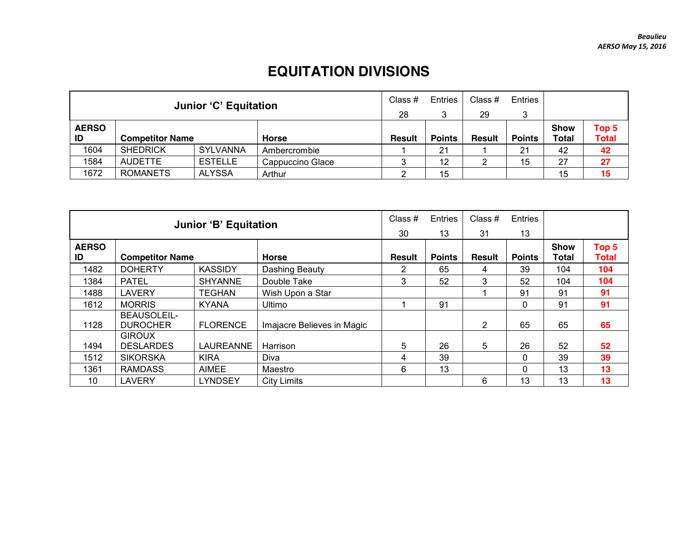## **EQUITATION DIVISIONS**

|                    |                                  | <b>Junior 'C' Equitation</b> |                  | Class #<br>28 | Entries<br>3  | Class #<br>29 | Entries       |                             |                       |
|--------------------|----------------------------------|------------------------------|------------------|---------------|---------------|---------------|---------------|-----------------------------|-----------------------|
| <b>AERSO</b><br>ID | <b>Competitor Name</b>           |                              | <b>Horse</b>     | <b>Result</b> | <b>Points</b> | <b>Result</b> | <b>Points</b> | <b>Show</b><br><b>Total</b> | Top 5<br><b>Total</b> |
| 1604               | <b>SHEDRICK</b>                  | <b>SYLVANNA</b>              | Ambercrombie     |               | 21            |               | 21            | 42                          | 42                    |
| 1584               | <b>AUDETTE</b>                   | <b>ESTELLE</b>               | Cappuccino Glace |               | 12            |               | 15            | 27                          | 27                    |
| 1672               | <b>ROMANETS</b><br><b>ALYSSA</b> |                              | Arthur           |               | 15            |               |               | 15                          | 15                    |

|              |                                | <b>Junior 'B' Equitation</b> |                            | Class #       | Entries       | Class $#$     | Entries       |             |              |
|--------------|--------------------------------|------------------------------|----------------------------|---------------|---------------|---------------|---------------|-------------|--------------|
|              |                                |                              |                            | 30            | 13            | 31            | 13            |             |              |
| <b>AERSO</b> |                                |                              |                            |               |               |               |               | <b>Show</b> | Top 5        |
| ID           | <b>Competitor Name</b>         |                              | <b>Horse</b>               | <b>Result</b> | <b>Points</b> | <b>Result</b> | <b>Points</b> | Total       | <b>Total</b> |
| 1482         | <b>DOHERTY</b>                 | <b>KASSIDY</b>               | Dashing Beauty             | 2             | 65            | 4             | 39            | 104         | 104          |
| 1384         | <b>PATEL</b>                   | <b>SHYANNE</b>               | Double Take                | 3             | 52            | 3             | 52            | 104         | 104          |
| 1488         | <b>LAVERY</b>                  | TEGHAN                       | Wish Upon a Star           |               |               |               | 91            | 91          | 91           |
| 1612         | <b>MORRIS</b>                  | <b>KYANA</b>                 | <b>Ultimo</b>              |               | 91            |               | $\Omega$      | 91          | 91           |
| 1128         | BEAUSOLEIL-<br><b>DUROCHER</b> | <b>FLORENCE</b>              | Imajacre Believes in Magic |               |               | 2             | 65            | 65          | 65           |
|              | <b>GIROUX</b>                  |                              |                            |               |               |               |               |             |              |
| 1494         | <b>DESLARDES</b>               | LAUREANNE                    | Harrison                   | 5             | 26            | 5             | 26            | 52          | 52           |
| 1512         | <b>SIKORSKA</b>                | <b>KIRA</b>                  | Diva                       | 4             | 39            |               | $\Omega$      | 39          | 39           |
| 1361         | <b>RAMDASS</b>                 | <b>AIMEE</b>                 | Maestro                    | 6             | 13            |               | $\mathbf{0}$  | 13          | 13           |
| 10           | LAVERY                         | LYNDSEY                      | <b>City Limits</b>         |               |               | 6             | 13            | 13          | 13           |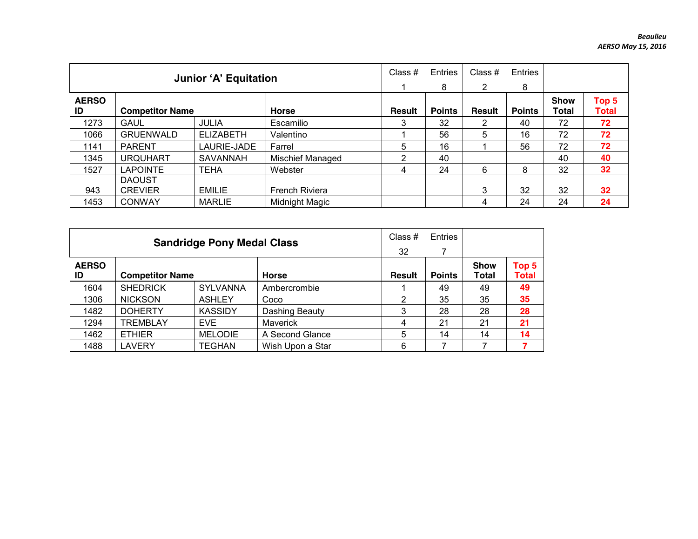|                    |                                | <b>Junior 'A' Equitation</b> |                         | Class $#$     | Entries<br>8  | Class #<br>2  | Entries<br>8  |                             |                       |
|--------------------|--------------------------------|------------------------------|-------------------------|---------------|---------------|---------------|---------------|-----------------------------|-----------------------|
| <b>AERSO</b><br>ID | <b>Competitor Name</b>         |                              | <b>Horse</b>            | <b>Result</b> | <b>Points</b> | <b>Result</b> | <b>Points</b> | <b>Show</b><br><b>Total</b> | Top 5<br><b>Total</b> |
| 1273               | <b>GAUL</b>                    | <b>JULIA</b>                 | Escamilio               | 3             | 32            | 2             | 40            | 72                          | 72                    |
| 1066               | <b>GRUENWALD</b>               | <b>ELIZABETH</b>             | Valentino               |               | 56            | 5             | 16            | 72                          | 72                    |
| 1141               | <b>PARENT</b>                  | LAURIE-JADE                  | Farrel                  | 5             | 16            |               | 56            | 72                          | 72                    |
| 1345               | <b>URQUHART</b>                | <b>SAVANNAH</b>              | <b>Mischief Managed</b> | 2             | 40            |               |               | 40                          | 40                    |
| 1527               | <b>LAPOINTE</b>                | <b>TEHA</b>                  | Webster                 | 4             | 24            | 6             | 8             | 32                          | 32                    |
|                    | <b>DAOUST</b>                  |                              |                         |               |               |               |               |                             |                       |
| 943                | <b>CREVIER</b>                 | <b>EMILIE</b>                | French Riviera          |               |               | 3             | 32            | 32                          | 32                    |
| 1453               | <b>CONWAY</b><br><b>MARLIE</b> |                              | Midnight Magic          |               |               | 4             | 24            | 24                          | 24                    |

|                    |                        | <b>Sandridge Pony Medal Class</b> |                  | Class $#$     | <b>Entries</b> |                      |                                  |
|--------------------|------------------------|-----------------------------------|------------------|---------------|----------------|----------------------|----------------------------------|
|                    |                        |                                   | 32               |               |                |                      |                                  |
| <b>AERSO</b><br>ID | <b>Competitor Name</b> |                                   | <b>Horse</b>     | <b>Result</b> | <b>Points</b>  | <b>Show</b><br>Total | Top <sub>5</sub><br><b>Total</b> |
| 1604               | <b>SHEDRICK</b>        | <b>SYLVANNA</b>                   | Ambercrombie     |               | 49             | 49                   | 49                               |
| 1306               | <b>NICKSON</b>         | <b>ASHLEY</b>                     | Coco             | 2             | 35             | 35                   | 35                               |
| 1482               | <b>DOHERTY</b>         | <b>KASSIDY</b>                    | Dashing Beauty   | 3             | 28             | 28                   | 28                               |
| 1294               | <b>TREMBLAY</b>        | EVE.                              | <b>Maverick</b>  | 4             | 21             | 21                   | 21                               |
| 1462               | <b>ETHIER</b>          | <b>MELODIE</b>                    | A Second Glance  | 5             | 14             | 14                   | 14                               |
| 1488               | <b>LAVERY</b>          | <b>TEGHAN</b>                     | Wish Upon a Star | 6             |                |                      |                                  |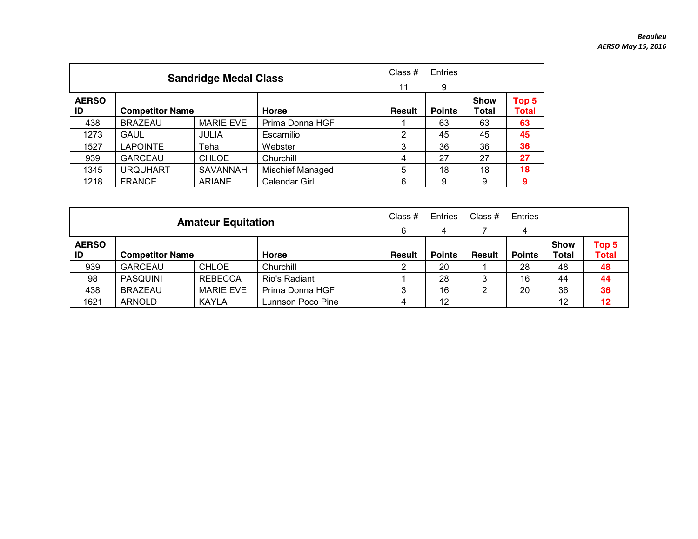|                    |                        | <b>Sandridge Medal Class</b> |                         | Class $#$<br>11 | Entries<br>9  |                      |                       |
|--------------------|------------------------|------------------------------|-------------------------|-----------------|---------------|----------------------|-----------------------|
| <b>AERSO</b><br>ID | <b>Competitor Name</b> |                              | <b>Horse</b>            | <b>Result</b>   | <b>Points</b> | <b>Show</b><br>Total | Top 5<br><b>Total</b> |
| 438                | <b>BRAZEAU</b>         | <b>MARIE EVE</b>             | Prima Donna HGF         |                 | 63            | 63                   | 63                    |
| 1273               | <b>GAUL</b>            | <b>JULIA</b>                 | Escamilio               | 2               | 45            | 45                   | 45                    |
| 1527               | <b>LAPOINTE</b>        | Teha                         | Webster                 | 3               | 36            | 36                   | 36                    |
| 939                | <b>GARCEAU</b>         | <b>CHLOE</b>                 | Churchill               | 4               | 27            | 27                   | 27                    |
| 1345               | <b>URQUHART</b>        | SAVANNAH                     | <b>Mischief Managed</b> | 5               | 18            | 18                   | 18                    |
| 1218               | <b>FRANCE</b>          | <b>ARIANE</b>                | Calendar Girl           | 6               | 9             | 9                    | 9                     |

|                                              |                 | <b>Amateur Equitation</b> |                   | Class #<br>6  | Entries<br>$\overline{4}$ | Class #       | Entries<br>4  |                      |                       |
|----------------------------------------------|-----------------|---------------------------|-------------------|---------------|---------------------------|---------------|---------------|----------------------|-----------------------|
| <b>AERSO</b><br><b>Competitor Name</b><br>ID |                 |                           | <b>Horse</b>      | <b>Result</b> | <b>Points</b>             | <b>Result</b> | <b>Points</b> | <b>Show</b><br>Total | Top 5<br><b>Total</b> |
| 939                                          | <b>GARCEAU</b>  | <b>CHLOE</b>              | Churchill         |               | 20                        |               | 28            | 48                   | 48                    |
| 98                                           | <b>PASQUINI</b> | <b>REBECCA</b>            | Rio's Radiant     |               | 28                        |               | 16            | 44                   | 44                    |
| 438                                          | <b>BRAZEAU</b>  | <b>MARIE EVE</b>          | Prima Donna HGF   |               | 16                        |               | 20            | 36                   | 36                    |
| 1621                                         | ARNOLD          | <b>KAYLA</b>              | Lunnson Poco Pine |               | 12                        |               |               | 12                   | 12                    |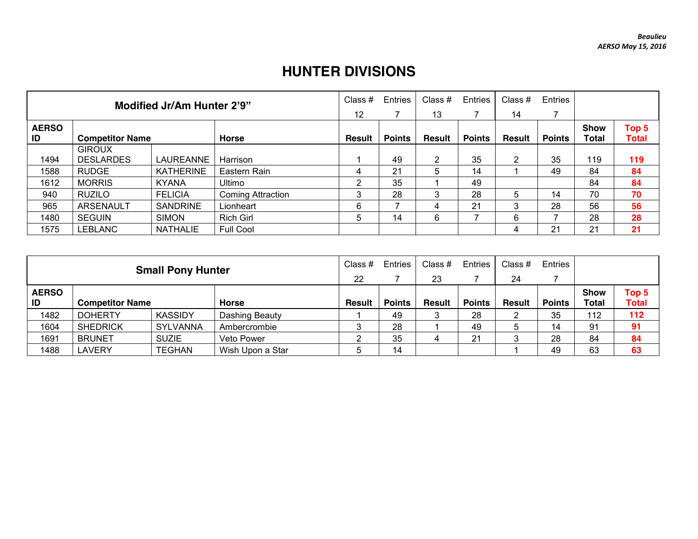## **HUNTER DIVISIONS**

|                    |                        | Modified Jr/Am Hunter 2'9" |                          | Class #       | Entries       | Class $#$     | Entries       | Class #       | Entries       |                      |                       |
|--------------------|------------------------|----------------------------|--------------------------|---------------|---------------|---------------|---------------|---------------|---------------|----------------------|-----------------------|
|                    |                        |                            |                          |               |               | 13            |               | 14            |               |                      |                       |
| <b>AERSO</b><br>ID | <b>Competitor Name</b> |                            | <b>Horse</b>             | <b>Result</b> | <b>Points</b> | <b>Result</b> | <b>Points</b> | <b>Result</b> | <b>Points</b> | <b>Show</b><br>Total | Top 5<br><b>Total</b> |
|                    | <b>GIROUX</b>          |                            |                          |               |               |               |               |               |               |                      |                       |
| 1494               | <b>DESLARDES</b>       | LAUREANNE                  | Harrison                 |               | 49            | 2             | 35            | 2             | 35            | 119                  | 119                   |
| 1588               | <b>RUDGE</b>           | <b>KATHERINE</b>           | Eastern Rain             |               | 21            | 5             | 14            |               | 49            | 84                   | 84                    |
| 1612               | <b>MORRIS</b>          | <b>KYANA</b>               | Ultimo                   | ົ             | 35            |               | 49            |               |               | 84                   | 84                    |
| 940                | <b>RUZILO</b>          | <b>FELICIA</b>             | <b>Coming Attraction</b> | Э             | 28            | 3             | 28            | 5             | 14            | 70                   | 70                    |
| 965                | <b>ARSENAULT</b>       | <b>SANDRINE</b>            | Lionheart                | 6             |               | 4             | 21            | 3             | 28            | 56                   | 56                    |
| 1480               | <b>SEGUIN</b>          | <b>SIMON</b>               | <b>Rich Girl</b>         | 5             | 14            | 6             |               | 6             |               | 28                   | 28                    |
| 1575               | LEBLANC                | <b>NATHALIE</b>            | Full Cool                |               |               |               |               | 4             | 21            | 21                   | 21                    |

|                              |                                                   | <b>Small Pony Hunter</b> |                | Class #       | <b>Entries</b> | Class $#$     | <b>Entries</b> | Class #       | Entries       |              |              |
|------------------------------|---------------------------------------------------|--------------------------|----------------|---------------|----------------|---------------|----------------|---------------|---------------|--------------|--------------|
|                              |                                                   |                          |                |               |                | 23            |                | 24            |               |              |              |
| <b>AERSO</b>                 |                                                   |                          |                |               |                |               |                |               |               | <b>Show</b>  | Top 5        |
| ID<br><b>Competitor Name</b> |                                                   |                          | Horse          | <b>Result</b> | <b>Points</b>  | <b>Result</b> | <b>Points</b>  | <b>Result</b> | <b>Points</b> | <b>Total</b> | <b>Total</b> |
| 1482                         | <b>DOHERTY</b>                                    | <b>KASSIDY</b>           | Dashing Beauty |               | 49             |               | 28             |               | 35            | 112          | 112          |
| 1604                         | <b>SHEDRICK</b>                                   | SYLVANNA                 | Ambercrombie   |               | 28             |               | 49             |               | 14            | 91           | 91           |
| 1691                         | <b>BRUNET</b>                                     | <b>SUZIE</b>             | Veto Power     |               | 35             |               | 21             |               | 28            | 84           | 84           |
| 1488                         | <b>AVERY</b><br><b>TEGHAN</b><br>Wish Upon a Star |                          |                |               | 14             |               |                |               | 49            | 63           | 63           |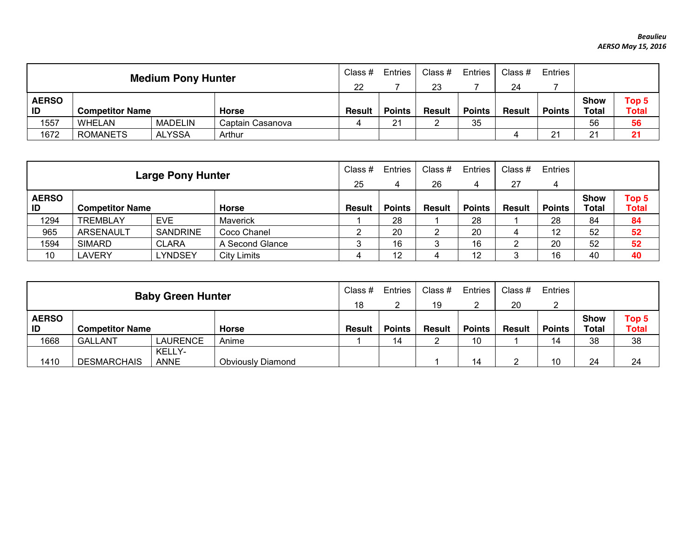|                                                    |                        | <b>Medium Pony Hunter</b> |                  | Class $#$<br>22 | Entries       | Class #<br>23 | Entries       | Class #<br>24 | Entries       |                             |                                  |
|----------------------------------------------------|------------------------|---------------------------|------------------|-----------------|---------------|---------------|---------------|---------------|---------------|-----------------------------|----------------------------------|
| <b>AERSO</b><br>ID                                 | <b>Competitor Name</b> |                           | <b>Horse</b>     | <b>Result</b>   | <b>Points</b> | <b>Result</b> | <b>Points</b> | Result        | <b>Points</b> | <b>Show</b><br><b>Total</b> | Top <sub>5</sub><br><b>Total</b> |
| 1557                                               | WHELAN                 | <b>MADELIN</b>            | Captain Casanova |                 | 21            |               | 35            |               |               | 56                          | 56                               |
| 1672<br><b>ROMANETS</b><br><b>ALYSSA</b><br>Arthur |                        |                           |                  |                 |               |               | 4             | 21            | 21            | 21                          |                                  |

|                              |                  | <b>Large Pony Hunter</b> |                 | Class $#$<br>25 | Entries       | Class $#$     | <b>Entries</b> | Class #       | Entries       |              |              |
|------------------------------|------------------|--------------------------|-----------------|-----------------|---------------|---------------|----------------|---------------|---------------|--------------|--------------|
|                              |                  |                          |                 |                 | 4             | 26            | 4              | 27            | 4             |              |              |
| <b>AERSO</b>                 |                  |                          |                 |                 |               |               |                |               |               | <b>Show</b>  | Top 5        |
| ID<br><b>Competitor Name</b> |                  |                          | <b>Horse</b>    | <b>Result</b>   | <b>Points</b> | <b>Result</b> | <b>Points</b>  | <b>Result</b> | <b>Points</b> | <b>Total</b> | <b>Total</b> |
| 1294                         | <b>TREMBLAY</b>  | <b>EVE</b>               | <b>Maverick</b> |                 | 28            |               | 28             |               | 28            | 84           | 84           |
| 965                          | <b>ARSENAULT</b> | <b>SANDRINE</b>          | Coco Chanel     |                 | 20            |               | 20             |               | 12            | 52           | 52           |
| 1594                         | <b>SIMARD</b>    | <b>CLARA</b>             | A Second Glance | ົ               | 16            | 3             | 16             | n             | 20            | 52           | 52           |
| 10                           | _AVERY           | LYNDSEY                  | City Limits     |                 | 12            | 4             | 12             | 3             | 16            | 40           | 40           |

|                                              |                    | <b>Baby Green Hunter</b> |                          | Class #       | <b>Entries</b> | Class #       | Entries       | Class #       | Entries       |                             |                       |
|----------------------------------------------|--------------------|--------------------------|--------------------------|---------------|----------------|---------------|---------------|---------------|---------------|-----------------------------|-----------------------|
|                                              |                    |                          |                          |               |                | 19            |               | 20            | ົ             |                             |                       |
| <b>AERSO</b><br>ID<br><b>Competitor Name</b> |                    |                          | <b>Horse</b>             | <b>Result</b> | <b>Points</b>  | <b>Result</b> | <b>Points</b> | <b>Result</b> | <b>Points</b> | <b>Show</b><br><b>Total</b> | Top 5<br><b>Total</b> |
| 1668                                         | <b>GALLANT</b>     | LAURENCE                 | Anime                    |               | 14             | _             | 10            |               | 14            | 38                          | 38                    |
| 1410                                         | <b>DESMARCHAIS</b> | KELLY-<br><b>ANNE</b>    | <b>Obviously Diamond</b> |               |                |               | 14            | ົ             | 10            | 24                          | 24                    |